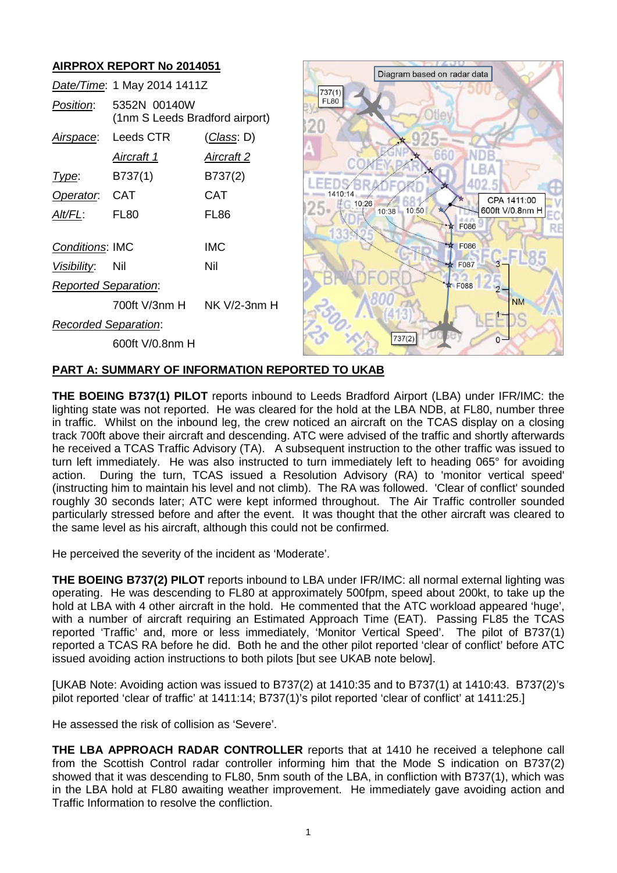# **AIRPROX REPORT No 2014051**

| <u>ה טסדו שב טור וזוט ושנו ווא</u> טוי |                                                |                     | Diagram based on radar data |             |                 |
|----------------------------------------|------------------------------------------------|---------------------|-----------------------------|-------------|-----------------|
| Date/Time: 1 May 2014 1411Z            |                                                |                     | 737(1)                      |             |                 |
| Position:                              | 5352N 00140W<br>(1nm S Leeds Bradford airport) |                     | <b>FL80</b>                 |             |                 |
| <u>Airspace:</u>                       | Leeds CTR                                      | <u>(Class</u> : D)  |                             |             |                 |
|                                        | <b>Aircraft 1</b>                              | <b>Aircraft 2</b>   |                             |             |                 |
| Type:                                  | B737(1)                                        | B737(2)             |                             |             |                 |
| Operator.                              | <b>CAT</b>                                     | <b>CAT</b>          | 10:26                       |             | CPA 1411:00     |
| Alt/FL:                                | <b>FL80</b>                                    | <b>FL86</b>         |                             | 10:38 10:50 | 600ft V/0.8nm H |
|                                        |                                                |                     |                             |             | <b>** F086</b>  |
| <b>Conditions: IMC</b>                 |                                                | <b>IMC</b>          |                             |             | F086            |
| <u>Visibility:</u>                     | Nil                                            | Nil                 |                             |             | F087            |
| <b>Reported Separation:</b>            |                                                |                     |                             |             | <b>* F088</b>   |
|                                        | 700ft V/3nm H                                  | <b>NK V/2-3nm H</b> |                             |             | <b>NM</b>       |
| <b>Recorded Separation:</b>            |                                                |                     |                             |             |                 |
|                                        | 600ft V/0.8nm H                                |                     |                             | 737(2)      | $0 -$           |

# **PART A: SUMMARY OF INFORMATION REPORTED TO UKAB**

**THE BOEING B737(1) PILOT** reports inbound to Leeds Bradford Airport (LBA) under IFR/IMC: the lighting state was not reported. He was cleared for the hold at the LBA NDB, at FL80, number three in traffic. Whilst on the inbound leg, the crew noticed an aircraft on the TCAS display on a closing track 700ft above their aircraft and descending. ATC were advised of the traffic and shortly afterwards he received a TCAS Traffic Advisory (TA). A subsequent instruction to the other traffic was issued to turn left immediately. He was also instructed to turn immediately left to heading 065° for avoiding action. During the turn, TCAS issued a Resolution Advisory (RA) to 'monitor vertical speed' (instructing him to maintain his level and not climb). The RA was followed. 'Clear of conflict' sounded roughly 30 seconds later; ATC were kept informed throughout. The Air Traffic controller sounded particularly stressed before and after the event. It was thought that the other aircraft was cleared to the same level as his aircraft, although this could not be confirmed.

He perceived the severity of the incident as 'Moderate'.

**THE BOEING B737(2) PILOT** reports inbound to LBA under IFR/IMC: all normal external lighting was operating. He was descending to FL80 at approximately 500fpm, speed about 200kt, to take up the hold at LBA with 4 other aircraft in the hold. He commented that the ATC workload appeared 'huge', with a number of aircraft requiring an Estimated Approach Time (EAT). Passing FL85 the TCAS reported 'Traffic' and, more or less immediately, 'Monitor Vertical Speed'. The pilot of B737(1) reported a TCAS RA before he did. Both he and the other pilot reported 'clear of conflict' before ATC issued avoiding action instructions to both pilots [but see UKAB note below].

[UKAB Note: Avoiding action was issued to B737(2) at 1410:35 and to B737(1) at 1410:43. B737(2)'s pilot reported 'clear of traffic' at 1411:14; B737(1)'s pilot reported 'clear of conflict' at 1411:25.]

He assessed the risk of collision as 'Severe'.

**THE LBA APPROACH RADAR CONTROLLER** reports that at 1410 he received a telephone call from the Scottish Control radar controller informing him that the Mode S indication on B737(2) showed that it was descending to FL80, 5nm south of the LBA, in confliction with B737(1), which was in the LBA hold at FL80 awaiting weather improvement. He immediately gave avoiding action and Traffic Information to resolve the confliction.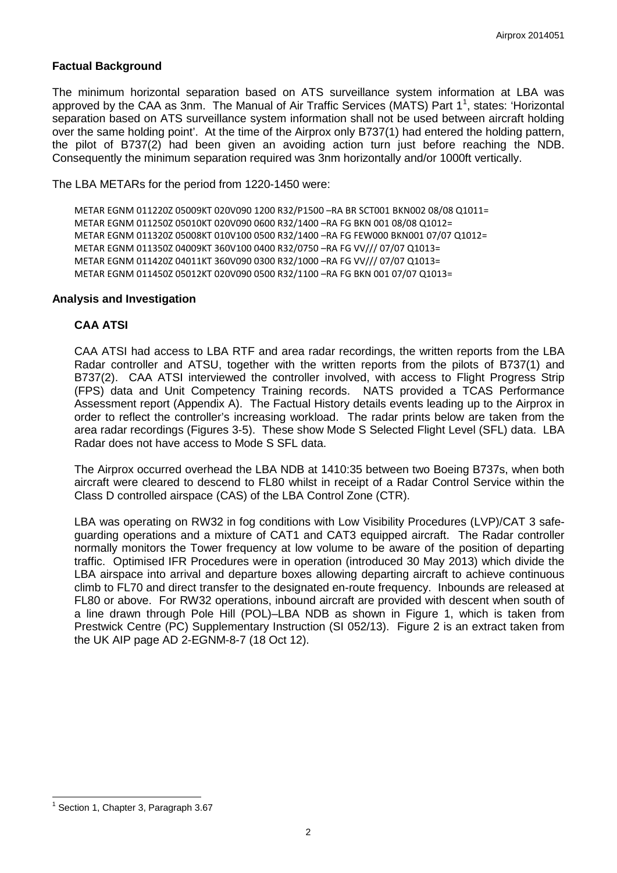# **Factual Background**

The minimum horizontal separation based on ATS surveillance system information at LBA was approved by the CAA as 3nm. The Manual of Air Traffic Services (MATS) Part [1](#page-1-0)<sup>1</sup>, states: 'Horizontal separation based on ATS surveillance system information shall not be used between aircraft holding over the same holding point'. At the time of the Airprox only B737(1) had entered the holding pattern, the pilot of B737(2) had been given an avoiding action turn just before reaching the NDB. Consequently the minimum separation required was 3nm horizontally and/or 1000ft vertically.

The LBA METARs for the period from 1220-1450 were:

METAR EGNM 011220Z 05009KT 020V090 1200 R32/P1500 –RA BR SCT001 BKN002 08/08 Q1011= METAR EGNM 011250Z 05010KT 020V090 0600 R32/1400 –RA FG BKN 001 08/08 Q1012= METAR EGNM 011320Z 05008KT 010V100 0500 R32/1400 –RA FG FEW000 BKN001 07/07 Q1012= METAR EGNM 011350Z 04009KT 360V100 0400 R32/0750 –RA FG VV/// 07/07 Q1013= METAR EGNM 011420Z 04011KT 360V090 0300 R32/1000 –RA FG VV/// 07/07 Q1013= METAR EGNM 011450Z 05012KT 020V090 0500 R32/1100 –RA FG BKN 001 07/07 Q1013=

### **Analysis and Investigation**

# **CAA ATSI**

CAA ATSI had access to LBA RTF and area radar recordings, the written reports from the LBA Radar controller and ATSU, together with the written reports from the pilots of B737(1) and B737(2). CAA ATSI interviewed the controller involved, with access to Flight Progress Strip (FPS) data and Unit Competency Training records. NATS provided a TCAS Performance Assessment report (Appendix A). The Factual History details events leading up to the Airprox in order to reflect the controller's increasing workload. The radar prints below are taken from the area radar recordings (Figures 3-5). These show Mode S Selected Flight Level (SFL) data. LBA Radar does not have access to Mode S SFL data.

The Airprox occurred overhead the LBA NDB at 1410:35 between two Boeing B737s, when both aircraft were cleared to descend to FL80 whilst in receipt of a Radar Control Service within the Class D controlled airspace (CAS) of the LBA Control Zone (CTR).

LBA was operating on RW32 in fog conditions with Low Visibility Procedures (LVP)/CAT 3 safeguarding operations and a mixture of CAT1 and CAT3 equipped aircraft. The Radar controller normally monitors the Tower frequency at low volume to be aware of the position of departing traffic. Optimised IFR Procedures were in operation (introduced 30 May 2013) which divide the LBA airspace into arrival and departure boxes allowing departing aircraft to achieve continuous climb to FL70 and direct transfer to the designated en-route frequency. Inbounds are released at FL80 or above. For RW32 operations, inbound aircraft are provided with descent when south of a line drawn through Pole Hill (POL)–LBA NDB as shown in Figure 1, which is taken from Prestwick Centre (PC) Supplementary Instruction (SI 052/13). Figure 2 is an extract taken from the UK AIP page AD 2-EGNM-8-7 (18 Oct 12).

 $\overline{\phantom{a}}$ 

<span id="page-1-0"></span><sup>&</sup>lt;sup>1</sup> Section 1, Chapter 3, Paragraph 3.67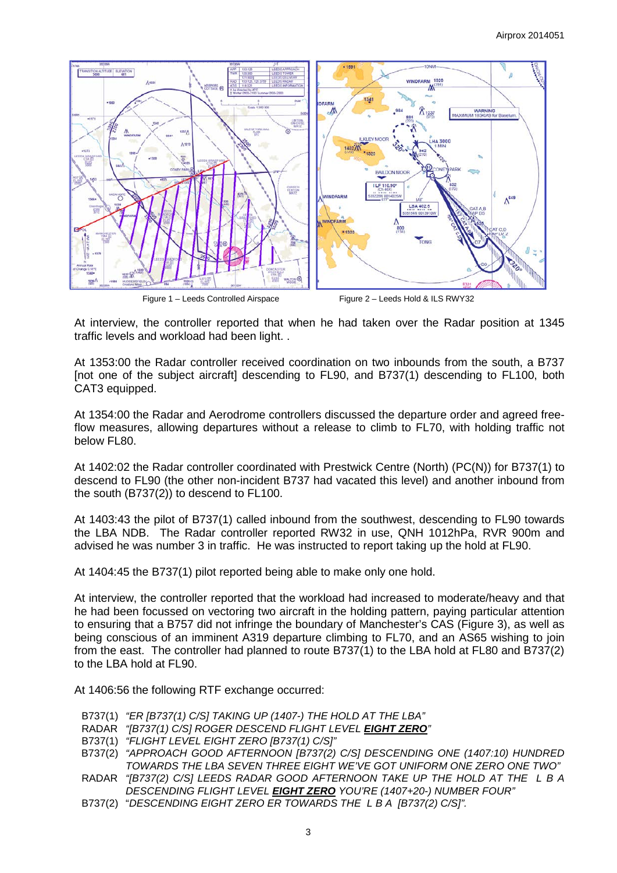

At interview, the controller reported that when he had taken over the Radar position at 1345 traffic levels and workload had been light. .

At 1353:00 the Radar controller received coordination on two inbounds from the south, a B737 [not one of the subject aircraft] descending to FL90, and B737(1) descending to FL100, both CAT3 equipped.

At 1354:00 the Radar and Aerodrome controllers discussed the departure order and agreed freeflow measures, allowing departures without a release to climb to FL70, with holding traffic not below FL80.

At 1402:02 the Radar controller coordinated with Prestwick Centre (North) (PC(N)) for B737(1) to descend to FL90 (the other non-incident B737 had vacated this level) and another inbound from the south (B737(2)) to descend to FL100.

At 1403:43 the pilot of B737(1) called inbound from the southwest, descending to FL90 towards the LBA NDB. The Radar controller reported RW32 in use, QNH 1012hPa, RVR 900m and advised he was number 3 in traffic. He was instructed to report taking up the hold at FL90.

At 1404:45 the B737(1) pilot reported being able to make only one hold.

At interview, the controller reported that the workload had increased to moderate/heavy and that he had been focussed on vectoring two aircraft in the holding pattern, paying particular attention to ensuring that a B757 did not infringe the boundary of Manchester's CAS (Figure 3), as well as being conscious of an imminent A319 departure climbing to FL70, and an AS65 wishing to join from the east. The controller had planned to route B737(1) to the LBA hold at FL80 and B737(2) to the LBA hold at FL90.

At 1406:56 the following RTF exchange occurred:

- B737(1) *"ER [B737(1) C/S] TAKING UP (1407-) THE HOLD AT THE LBA"*
- RADAR *"[B737(1) C/S] ROGER DESCEND FLIGHT LEVEL EIGHT ZERO"*
- B737(1) *"FLIGHT LEVEL EIGHT ZERO [B737(1) C/S]"*
- B737(2) *"APPROACH GOOD AFTERNOON [B737(2) C/S] DESCENDING ONE (1407:10) HUNDRED TOWARDS THE LBA SEVEN THREE EIGHT WE'VE GOT UNIFORM ONE ZERO ONE TWO"*

RADAR *"[B737(2) C/S] LEEDS RADAR GOOD AFTERNOON TAKE UP THE HOLD AT THE L B A DESCENDING FLIGHT LEVEL EIGHT ZERO YOU'RE (1407+20-) NUMBER FOUR"*

B737(2) "*DESCENDING EIGHT ZERO ER TOWARDS THE L B A [B737(2) C/S]".*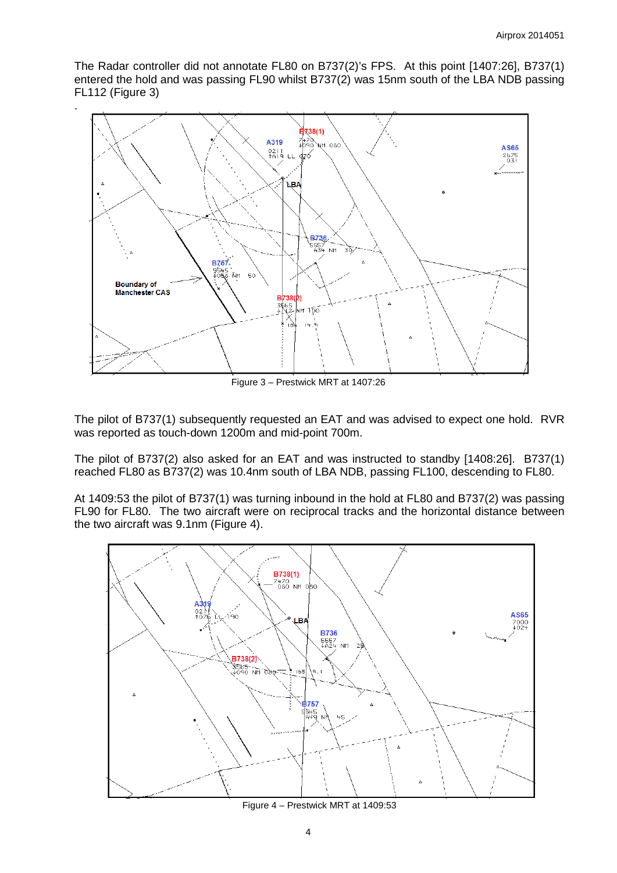The Radar controller did not annotate FL80 on B737(2)'s FPS. At this point [1407:26], B737(1) entered the hold and was passing FL90 whilst B737(2) was 15nm south of the LBA NDB passing FL112 (Figure 3)

.



Figure 3 – Prestwick MRT at 1407:26

The pilot of B737(1) subsequently requested an EAT and was advised to expect one hold. RVR was reported as touch-down 1200m and mid-point 700m.

The pilot of B737(2) also asked for an EAT and was instructed to standby [1408:26]. B737(1) reached FL80 as B737(2) was 10.4nm south of LBA NDB, passing FL100, descending to FL80.

At 1409:53 the pilot of B737(1) was turning inbound in the hold at FL80 and B737(2) was passing FL90 for FL80. The two aircraft were on reciprocal tracks and the horizontal distance between the two aircraft was 9.1nm (Figure 4).



Figure 4 – Prestwick MRT at 1409:53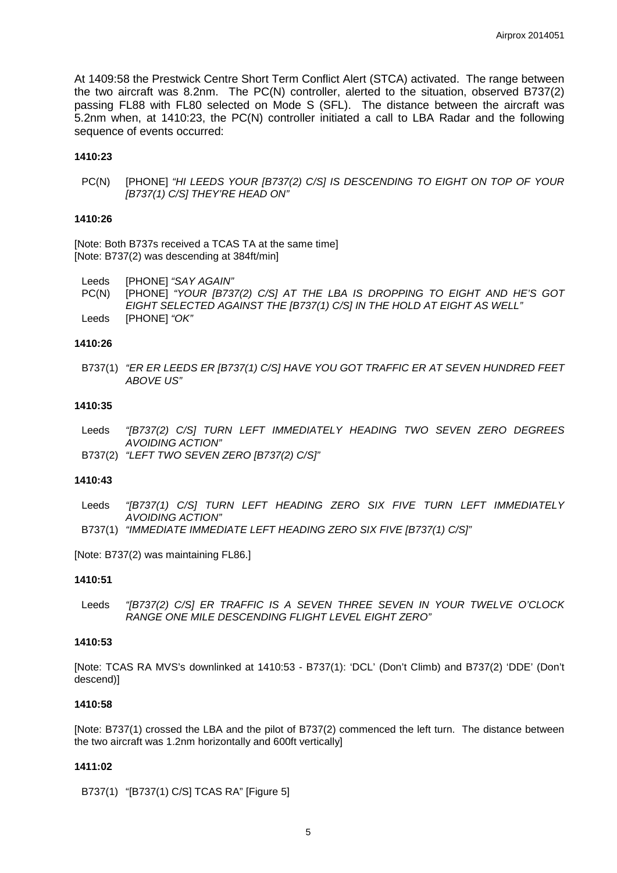At 1409:58 the Prestwick Centre Short Term Conflict Alert (STCA) activated. The range between the two aircraft was 8.2nm. The PC(N) controller, alerted to the situation, observed B737(2) passing FL88 with FL80 selected on Mode S (SFL). The distance between the aircraft was 5.2nm when, at 1410:23, the PC(N) controller initiated a call to LBA Radar and the following sequence of events occurred:

#### **1410:23**

PC(N) [PHONE] *"HI LEEDS YOUR [B737(2) C/S] IS DESCENDING TO EIGHT ON TOP OF YOUR [B737(1) C/S] THEY'RE HEAD ON"*

#### **1410:26**

[Note: Both B737s received a TCAS TA at the same time] [Note: B737(2) was descending at 384ft/min]

- Leeds [PHONE] *"SAY AGAIN"*
- PC(N) [PHONE] *"YOUR [B737(2) C/S] AT THE LBA IS DROPPING TO EIGHT AND HE'S GOT EIGHT SELECTED AGAINST THE [B737(1) C/S] IN THE HOLD AT EIGHT AS WELL"* Leeds [PHONE] *"OK"*

#### **1410:26**

B737(1) *"ER ER LEEDS ER [B737(1) C/S] HAVE YOU GOT TRAFFIC ER AT SEVEN HUNDRED FEET ABOVE US"*

### **1410:35**

- Leeds *"[B737(2) C/S] TURN LEFT IMMEDIATELY HEADING TWO SEVEN ZERO DEGREES AVOIDING ACTION"*
- B737(2) *"LEFT TWO SEVEN ZERO [B737(2) C/S]"*

#### **1410:43**

- Leeds *"[B737(1) C/S] TURN LEFT HEADING ZERO SIX FIVE TURN LEFT IMMEDIATELY AVOIDING ACTION"*
- B737(1) *"IMMEDIATE IMMEDIATE LEFT HEADING ZERO SIX FIVE [B737(1) C/S]"*

[Note: B737(2) was maintaining FL86.]

### **1410:51**

Leeds *"[B737(2) C/S] ER TRAFFIC IS A SEVEN THREE SEVEN IN YOUR TWELVE O'CLOCK RANGE ONE MILE DESCENDING FLIGHT LEVEL EIGHT ZERO"*

### **1410:53**

[Note: TCAS RA MVS's downlinked at 1410:53 - B737(1): 'DCL' (Don't Climb) and B737(2) 'DDE' (Don't descend)]

### **1410:58**

[Note: B737(1) crossed the LBA and the pilot of B737(2) commenced the left turn. The distance between the two aircraft was 1.2nm horizontally and 600ft vertically]

### **1411:02**

B737(1) "[B737(1) C/S] TCAS RA" [Figure 5]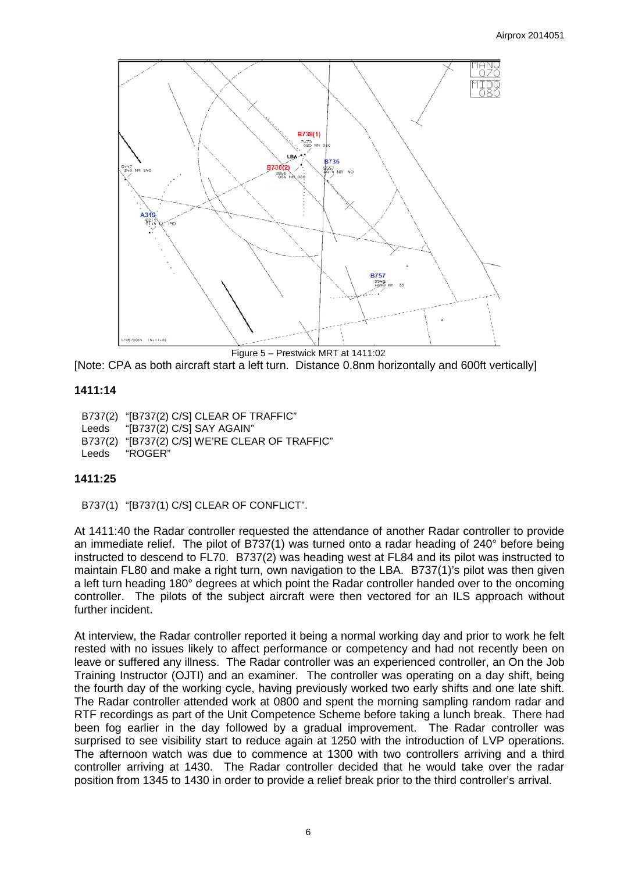

[Note: CPA as both aircraft start a left turn. Distance 0.8nm horizontally and 600ft vertically]

# **1411:14**

B737(2) "[B737(2) C/S] CLEAR OF TRAFFIC" Leeds "[B737(2) C/S] SAY AGAIN" B737(2) "[B737(2) C/S] WE'RE CLEAR OF TRAFFIC" Leeds "ROGER"

# **1411:25**

B737(1) "[B737(1) C/S] CLEAR OF CONFLICT".

At 1411:40 the Radar controller requested the attendance of another Radar controller to provide an immediate relief. The pilot of B737(1) was turned onto a radar heading of 240° before being instructed to descend to FL70. B737(2) was heading west at FL84 and its pilot was instructed to maintain FL80 and make a right turn, own navigation to the LBA. B737(1)'s pilot was then given a left turn heading 180° degrees at which point the Radar controller handed over to the oncoming controller. The pilots of the subject aircraft were then vectored for an ILS approach without further incident.

At interview, the Radar controller reported it being a normal working day and prior to work he felt rested with no issues likely to affect performance or competency and had not recently been on leave or suffered any illness. The Radar controller was an experienced controller, an On the Job Training Instructor (OJTI) and an examiner. The controller was operating on a day shift, being the fourth day of the working cycle, having previously worked two early shifts and one late shift. The Radar controller attended work at 0800 and spent the morning sampling random radar and RTF recordings as part of the Unit Competence Scheme before taking a lunch break. There had been fog earlier in the day followed by a gradual improvement. The Radar controller was surprised to see visibility start to reduce again at 1250 with the introduction of LVP operations. The afternoon watch was due to commence at 1300 with two controllers arriving and a third controller arriving at 1430. The Radar controller decided that he would take over the radar position from 1345 to 1430 in order to provide a relief break prior to the third controller's arrival.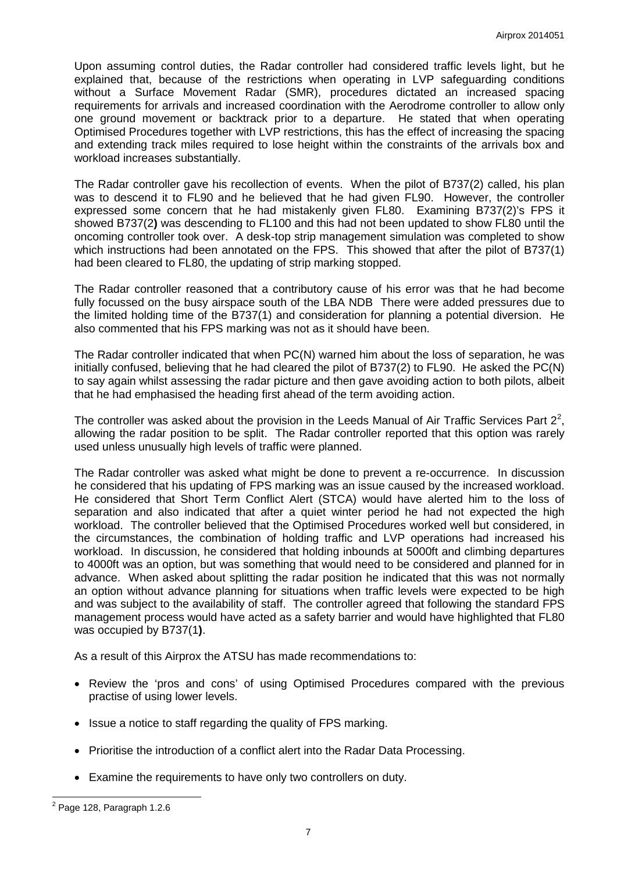Upon assuming control duties, the Radar controller had considered traffic levels light, but he explained that, because of the restrictions when operating in LVP safeguarding conditions without a Surface Movement Radar (SMR), procedures dictated an increased spacing requirements for arrivals and increased coordination with the Aerodrome controller to allow only one ground movement or backtrack prior to a departure. He stated that when operating Optimised Procedures together with LVP restrictions, this has the effect of increasing the spacing and extending track miles required to lose height within the constraints of the arrivals box and workload increases substantially.

The Radar controller gave his recollection of events. When the pilot of B737(2) called, his plan was to descend it to FL90 and he believed that he had given FL90. However, the controller expressed some concern that he had mistakenly given FL80. Examining B737(2)'s FPS it showed B737(2**)** was descending to FL100 and this had not been updated to show FL80 until the oncoming controller took over. A desk-top strip management simulation was completed to show which instructions had been annotated on the FPS. This showed that after the pilot of B737(1) had been cleared to FL80, the updating of strip marking stopped.

The Radar controller reasoned that a contributory cause of his error was that he had become fully focussed on the busy airspace south of the LBA NDB There were added pressures due to the limited holding time of the B737(1) and consideration for planning a potential diversion. He also commented that his FPS marking was not as it should have been.

The Radar controller indicated that when PC(N) warned him about the loss of separation, he was initially confused, believing that he had cleared the pilot of B737(2) to FL90. He asked the PC(N) to say again whilst assessing the radar picture and then gave avoiding action to both pilots, albeit that he had emphasised the heading first ahead of the term avoiding action.

The controller was asked about the provision in the Leeds Manual of Air Traffic Services Part  $2^2$  $2^2$ , allowing the radar position to be split. The Radar controller reported that this option was rarely used unless unusually high levels of traffic were planned.

The Radar controller was asked what might be done to prevent a re-occurrence. In discussion he considered that his updating of FPS marking was an issue caused by the increased workload. He considered that Short Term Conflict Alert (STCA) would have alerted him to the loss of separation and also indicated that after a quiet winter period he had not expected the high workload. The controller believed that the Optimised Procedures worked well but considered, in the circumstances, the combination of holding traffic and LVP operations had increased his workload. In discussion, he considered that holding inbounds at 5000ft and climbing departures to 4000ft was an option, but was something that would need to be considered and planned for in advance. When asked about splitting the radar position he indicated that this was not normally an option without advance planning for situations when traffic levels were expected to be high and was subject to the availability of staff. The controller agreed that following the standard FPS management process would have acted as a safety barrier and would have highlighted that FL80 was occupied by B737(1**)**.

As a result of this Airprox the ATSU has made recommendations to:

- Review the 'pros and cons' of using Optimised Procedures compared with the previous practise of using lower levels.
- Issue a notice to staff regarding the quality of FPS marking.
- Prioritise the introduction of a conflict alert into the Radar Data Processing.
- Examine the requirements to have only two controllers on duty.

 $\overline{\phantom{a}}$ 

<span id="page-6-0"></span> $<sup>2</sup>$  Page 128, Paragraph 1.2.6</sup>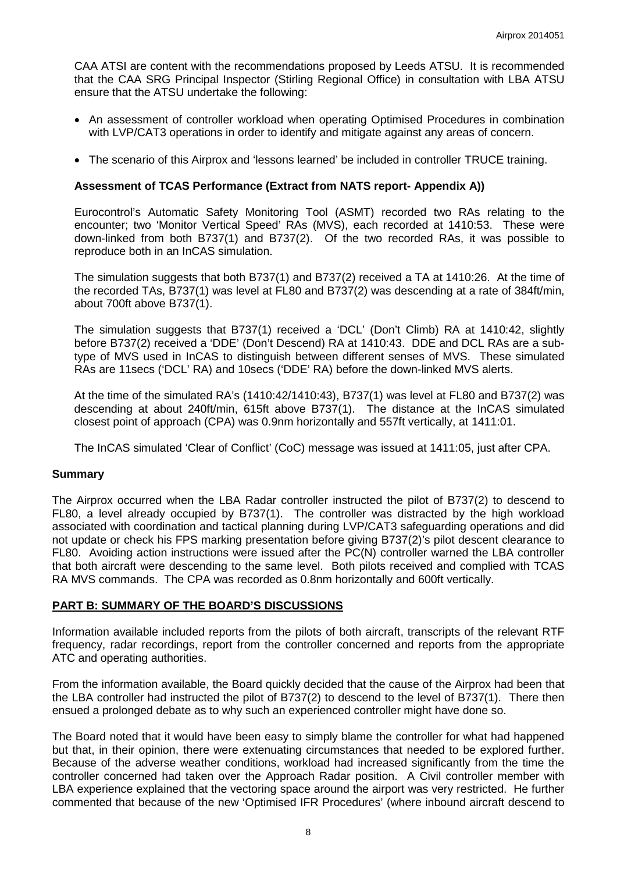CAA ATSI are content with the recommendations proposed by Leeds ATSU. It is recommended that the CAA SRG Principal Inspector (Stirling Regional Office) in consultation with LBA ATSU ensure that the ATSU undertake the following:

- An assessment of controller workload when operating Optimised Procedures in combination with LVP/CAT3 operations in order to identify and mitigate against any areas of concern.
- The scenario of this Airprox and 'lessons learned' be included in controller TRUCE training.

### **Assessment of TCAS Performance (Extract from NATS report- Appendix A))**

Eurocontrol's Automatic Safety Monitoring Tool (ASMT) recorded two RAs relating to the encounter; two 'Monitor Vertical Speed' RAs (MVS), each recorded at 1410:53. These were down-linked from both B737(1) and B737(2). Of the two recorded RAs, it was possible to reproduce both in an InCAS simulation.

The simulation suggests that both B737(1) and B737(2) received a TA at 1410:26. At the time of the recorded TAs, B737(1) was level at FL80 and B737(2) was descending at a rate of 384ft/min, about 700ft above B737(1).

The simulation suggests that B737(1) received a 'DCL' (Don't Climb) RA at 1410:42, slightly before B737(2) received a 'DDE' (Don't Descend) RA at 1410:43. DDE and DCL RAs are a subtype of MVS used in InCAS to distinguish between different senses of MVS. These simulated RAs are 11secs ('DCL' RA) and 10secs ('DDE' RA) before the down-linked MVS alerts.

At the time of the simulated RA's (1410:42/1410:43), B737(1) was level at FL80 and B737(2) was descending at about 240ft/min, 615ft above B737(1). The distance at the InCAS simulated closest point of approach (CPA) was 0.9nm horizontally and 557ft vertically, at 1411:01.

The InCAS simulated 'Clear of Conflict' (CoC) message was issued at 1411:05, just after CPA.

### **Summary**

The Airprox occurred when the LBA Radar controller instructed the pilot of B737(2) to descend to FL80, a level already occupied by B737(1). The controller was distracted by the high workload associated with coordination and tactical planning during LVP/CAT3 safeguarding operations and did not update or check his FPS marking presentation before giving B737(2)'s pilot descent clearance to FL80. Avoiding action instructions were issued after the PC(N) controller warned the LBA controller that both aircraft were descending to the same level. Both pilots received and complied with TCAS RA MVS commands. The CPA was recorded as 0.8nm horizontally and 600ft vertically.

### **PART B: SUMMARY OF THE BOARD'S DISCUSSIONS**

Information available included reports from the pilots of both aircraft, transcripts of the relevant RTF frequency, radar recordings, report from the controller concerned and reports from the appropriate ATC and operating authorities.

From the information available, the Board quickly decided that the cause of the Airprox had been that the LBA controller had instructed the pilot of B737(2) to descend to the level of B737(1). There then ensued a prolonged debate as to why such an experienced controller might have done so.

The Board noted that it would have been easy to simply blame the controller for what had happened but that, in their opinion, there were extenuating circumstances that needed to be explored further. Because of the adverse weather conditions, workload had increased significantly from the time the controller concerned had taken over the Approach Radar position. A Civil controller member with LBA experience explained that the vectoring space around the airport was very restricted. He further commented that because of the new 'Optimised IFR Procedures' (where inbound aircraft descend to